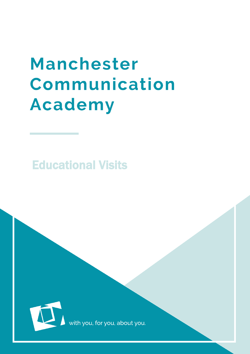# Manchester Communication **Academy**

Educational Visits



with you, for you, about you.

 $\mathcal{L}_\text{max}$  and  $\mathcal{L}_\text{max}$  and  $\mathcal{L}_\text{max}$  and  $\mathcal{L}_\text{max}$  and  $\mathcal{L}_\text{max}$  and  $\mathcal{L}_\text{max}$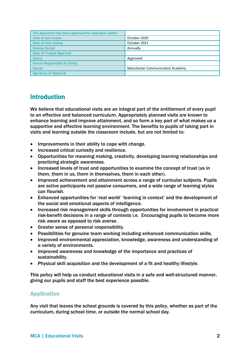| This document has been approved for operation within |                                         |
|------------------------------------------------------|-----------------------------------------|
| Date of last review                                  | October 2020                            |
| Date of next review                                  | October 2021                            |
| <b>Review Period</b>                                 | Annually                                |
| Date of Trustee Approval                             |                                         |
| <b>Status</b>                                        | Approved                                |
| Person Responsible for Policy                        |                                         |
| Owner                                                | <b>Manchester Communication Academy</b> |
| <b>Signature of Approval</b>                         |                                         |

# Introduction

We believe that educational visits are an integral part of the entitlement of every pupil to an effective and balanced curriculum. Appropriately planned visits are known to enhance learning and improve attainment, and so form a key part of what makes us a supportive and effective learning environment. The benefits to pupils of taking part in visits and learning outside the classroom include, but are not limited to:

- Improvements in their ability to cope with change.
- Increased critical curiosity and resilience.
- Opportunities for meaning making, creativity, developing learning relationships and practicing strategic awareness.
- Increased levels of trust and opportunities to examine the concept of trust (us in them, them in us, them in themselves, them in each other).
- Improved achievement and attainment across a range of curricular subjects. Pupils are active participants not passive consumers, and a wide range of learning styles can flourish.
- Enhanced opportunities for 'real world' 'learning in context' and the development of the social and emotional aspects of intelligence.
- Increased risk management skills through opportunities for involvement in practical risk-benefit decisions in a range of contexts i.e. Encouraging pupils to become more risk aware as opposed to risk averse.
- Greater sense of personal responsibility.
- Possibilities for genuine team working including enhanced communication skills.
- Improved environmental appreciation, knowledge, awareness and understanding of a variety of environments.
- Improved awareness and knowledge of the importance and practices of sustainability.
- Physical skill acquisition and the development of a fit and healthy lifestyle.

This policy will help us conduct educational visits in a safe and well-structured manner, giving our pupils and staff the best experience possible.

#### Application

Any visit that leaves the school grounds is covered by this policy, whether as part of the curriculum, during school time, or outside the normal school day.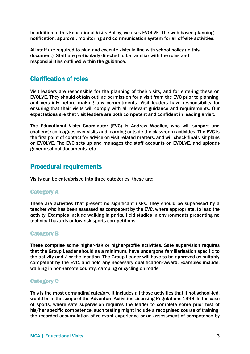In addition to this Educational Visits Policy, we uses EVOLVE. The web-based planning, notification, approval, monitoring and communication system for all off-site activities.

All staff are required to plan and execute visits in line with school policy (ie this document). Staff are particularly directed to be familiar with the roles and responsibilities outlined within the guidance.

### Clarification of roles

Visit leaders are responsible for the planning of their visits, and for entering these on EVOLVE. They should obtain outline permission for a visit from the EVC prior to planning, and certainly before making any commitments. Visit leaders have responsibility for ensuring that their visits will comply with all relevant guidance and requirements. Our expectations are that visit leaders are both competent and confident in leading a visit.

The Educational Visits Coordinator (EVC) is Andrew Woolley, who will support and challenge colleagues over visits and learning outside the classroom activities. The EVC is the first point of contact for advice on visit related matters, and will check final visit plans on EVOLVE. The EVC sets up and manages the staff accounts on EVOLVE, and uploads generic school documents, etc.

## Procedural requirements

Visits can be categorised into three categories, these are:

#### Category A

These are activities that present no significant risks. They should be supervised by a teacher who has been assessed as competent by the EVC, where appropriate, to lead the activity. Examples include walking in parks, field studies in environments presenting no technical hazards or low risk sports competitions.

#### Category B

These comprise some higher-risk or higher-profile activities. Safe supervision requires that the Group Leader should as a minimum, have undergone familiarisation specific to the activity and / or the location. The Group Leader will have to be approved as suitably competent by the EVC, and hold any necessary qualification/award. Examples include; walking in non-remote country, camping or cycling on roads.

#### Category C

This is the most demanding category. It includes all those activities that if not school-led, would be in the scope of the Adventure Activities Licensing Regulations 1996. In the case of sports, where safe supervision requires the leader to complete some prior test of his/her specific competence, such testing might include a recognised course of training, the recorded accumulation of relevant experience or an assessment of competence by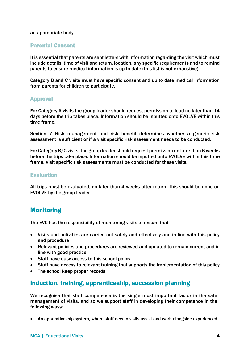#### an appropriate body.

#### Parental Consent

It is essential that parents are sent letters with information regarding the visit which must include details, time of visit and return, location, any specific requirements and to remind parents to ensure medical information is up to date (this list is not exhaustive).

Category B and C visits must have specific consent and up to date medical information from parents for children to participate.

#### Approval

For Category A visits the group leader should request permission to lead no later than 14 days before the trip takes place. Information should be inputted onto EVOLVE within this time frame.

Section 7 Risk management and risk benefit determines whether a generic risk assessment is sufficient or if a visit specific risk assessment needs to be conducted.

For Category B/C visits, the group leader should request permission no later than 6 weeks before the trips take place. Information should be inputted onto EVOLVE within this time frame. Visit specific risk assessments must be conducted for these visits.

#### Evaluation

All trips must be evaluated, no later than 4 weeks after return. This should be done on EVOLVE by the group leader.

## **Monitoring**

The EVC has the responsibility of monitoring visits to ensure that

- Visits and activities are carried out safely and effectively and in line with this policy and procedure
- Relevant policies and procedures are reviewed and updated to remain current and in line with good practice
- Staff have easy access to this school policy
- Staff have access to relevant training that supports the implementation of this policy
- The school keep proper records

### Induction, training, apprenticeship, succession planning

We recognise that staff competence is the single most important factor in the safe management of visits, and so we support staff in developing their competence in the following ways:

An apprenticeship system, where staff new to visits assist and work alongside experienced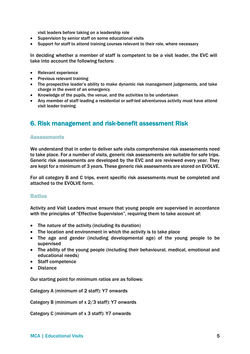visit leaders before taking on a leadership role

- Supervision by senior staff on some educational visits
- Support for staff to attend training courses relevant to their role, where necessary

In deciding whether a member of staff is competent to be a visit leader, the EVC will take into account the following factors:

- Relevant experience
- Previous relevant training
- The prospective leader's ability to make dynamic risk management judgements, and take charge in the event of an emergency
- Knowledge of the pupils, the venue, and the activities to be undertaken
- Any member of staff leading a residential or self-led adventurous activity must have attend visit leader training

# 6. Risk management and risk-benefit assessment Risk

#### **Assessments**

We understand that in order to deliver safe visits comprehensive risk assessments need to take place. For a number of visits, generic risk assessments are suitable for safe trips. Generic risk assessments are developed by the EVC and are reviewed every year. They are kept for a minimum of 3 years. These generic risk assessments are stored on EVOLVE.

For all category B and C trips, event specific risk assessments must be completed and attached to the EVOLVE form.

#### Ratios

Activity and Visit Leaders must ensure that young people are supervised in accordance with the principles of "Effective Supervision", requiring them to take account of:

- The nature of the activity (including its duration)
- The location and environment in which the activity is to take place
- The age and gender (including developmental age) of the young people to be supervised
- The ability of the young people (including their behavioural, medical, emotional and educational needs)
- Staff competence
- Distance

Our starting point for minimum ratios are as follows:

Category A (minimum of 2 staff): Y7 onwards

Category B (minimum of x 2/3 staff): Y7 onwards

Category C (minimum of x 3 staff): Y7 onwards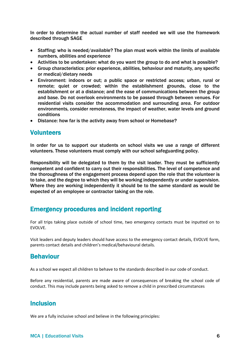In order to determine the actual number of staff needed we will use the framework described through SAGE

- Staffing: who is needed/available? The plan must work within the limits of available numbers, abilities and experience
- Activities to be undertaken: what do you want the group to do and what is possible?
- Group characteristics: prior experience, abilities, behaviour and maturity, any specific or medical/dietary needs
- Environment: indoors or out; a public space or restricted access; urban, rural or remote; quiet or crowded; within the establishment grounds, close to the establishment or at a distance; and the ease of communications between the group and base. Do not overlook environments to be passed through between venues. For residential visits consider the accommodation and surrounding area. For outdoor environments, consider remoteness, the impact of weather, water levels and ground conditions
- Distance: how far is the activity away from school or Homebase?

#### **Volunteers**

In order for us to support our students on school visits we use a range of different volunteers. These volunteers must comply with our school safeguarding policy.

Responsibility will be delegated to them by the visit leader. They must be sufficiently competent and confident to carry out their responsibilities. The level of competence and the thoroughness of the engagement process depend upon the role that the volunteer is to take, and the degree to which they will be working independently or under supervision. Where they are working independently it should be to the same standard as would be expected of an employee or contractor taking on the role.

## Emergency procedures and incident reporting

For all trips taking place outside of school time, two emergency contacts must be inputted on to EVOLVE.

Visit leaders and deputy leaders should have access to the emergency contact details, EVOLVE form, parents contact details and children's medical/behavioural details.

## Behaviour

As a school we expect all children to behave to the standards described in our code of conduct.

Before any residential, parents are made aware of consequences of breaking the school code of conduct. This may include parents being asked to remove a child in prescribed circumstances

## Inclusion

We are a fully inclusive school and believe in the following principles: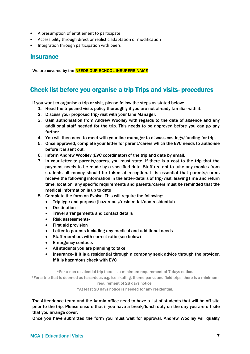- A presumption of entitlement to participate
- Accessibility through direct or realistic adaptation or modification
- Integration through participation with peers

## **Insurance**

We are covered by the **NEEDS OUR SCHOOL INSURERS NAME** 

## Check list before you organise a trip Trips and visits- procedures

If you want to organise a trip or visit, please follow the steps as stated below:

- 1. Read the trips and visits policy thoroughly if you are not already familiar with it.
- 2. Discuss your proposed trip/visit with your Line Manager.
- 3. Gain authorisation from Andrew Woolley with regards to the date of absence and any additional staff needed for the trip. This needs to be approved before you can go any further.
- 4. You will then need to meet with your line manager to discuss costings/funding for trip.
- 5. Once approved, complete your letter for parent/carers which the EVC needs to authorise before it is sent out.
- 6. Inform Andrew Woolley (EVC coordinator) of the trip and date by email.
- 7. In your letter to parents/carers, you must state, if there is a cost to the trip that the payment needs to be made by a specified date. Staff are not to take any monies from students all money should be taken at reception. It is essential that parents/carers receive the following information in the letter-details of trip/visit, leaving time and return time, location, any specific requirements and parents/carers must be reminded that the medical information is up to date
- 8. Complete the form on Evolve. This will require the following:-
	- Trip type and purpose (hazardous/residential/non-residential)
	- **Destination**
	- Travel arrangements and contact details
	- Risk assessments-
	- First aid provision
	- Letter to parents including any medical and additional needs
	- Staff members with correct ratio (see below)
	- Emergency contacts
	- All students you are planning to take
	- Insurance- if it is a residential through a company seek advice through the provider. If it is hazardous check with EVC

\*For a non-residential trip there is a minimum requirement of 7 days notice.

\*For a trip that is deemed as hazardous e.g. ice-skating, theme parks and field trips, there is a minimum requirement of 28 days notice.

\*At least 28 days notice is needed for any residential.

The Attendance team and the Admin office need to have a list of students that will be off site prior to the trip. Please ensure that if you have a break/lunch duty on the day you are off site that you arrange cover.

Once you have submitted the form you must wait for approval. Andrew Woolley will quality